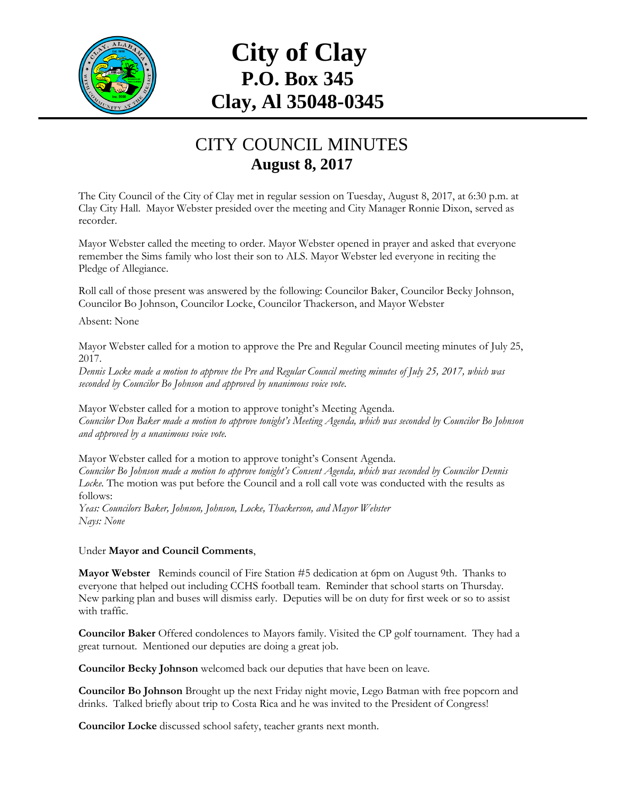

## **City of Clay P.O. Box 345 Clay, Al 35048-0345**

## CITY COUNCIL MINUTES **August 8, 2017**

The City Council of the City of Clay met in regular session on Tuesday, August 8, 2017, at 6:30 p.m. at Clay City Hall. Mayor Webster presided over the meeting and City Manager Ronnie Dixon, served as recorder.

Mayor Webster called the meeting to order. Mayor Webster opened in prayer and asked that everyone remember the Sims family who lost their son to ALS. Mayor Webster led everyone in reciting the Pledge of Allegiance.

Roll call of those present was answered by the following: Councilor Baker, Councilor Becky Johnson, Councilor Bo Johnson, Councilor Locke, Councilor Thackerson, and Mayor Webster

Absent: None

Mayor Webster called for a motion to approve the Pre and Regular Council meeting minutes of July 25, 2017.

*Dennis Locke made a motion to approve the Pre and Regular Council meeting minutes of July 25, 2017, which was seconded by Councilor Bo Johnson and approved by unanimous voice vote.*

Mayor Webster called for a motion to approve tonight's Meeting Agenda. *Councilor Don Baker made a motion to approve tonight's Meeting Agenda, which was seconded by Councilor Bo Johnson and approved by a unanimous voice vote.*

Mayor Webster called for a motion to approve tonight's Consent Agenda. *Councilor Bo Johnson made a motion to approve tonight's Consent Agenda, which was seconded by Councilor Dennis Locke.* The motion was put before the Council and a roll call vote was conducted with the results as follows: *Yeas: Councilors Baker, Johnson, Johnson, Locke, Thackerson, and Mayor Webster Nays: None*

Under **Mayor and Council Comments**,

**Mayor Webster** Reminds council of Fire Station #5 dedication at 6pm on August 9th. Thanks to everyone that helped out including CCHS football team. Reminder that school starts on Thursday. New parking plan and buses will dismiss early. Deputies will be on duty for first week or so to assist with traffic.

**Councilor Baker** Offered condolences to Mayors family. Visited the CP golf tournament. They had a great turnout. Mentioned our deputies are doing a great job.

**Councilor Becky Johnson** welcomed back our deputies that have been on leave.

**Councilor Bo Johnson** Brought up the next Friday night movie, Lego Batman with free popcorn and drinks. Talked briefly about trip to Costa Rica and he was invited to the President of Congress!

**Councilor Locke** discussed school safety, teacher grants next month.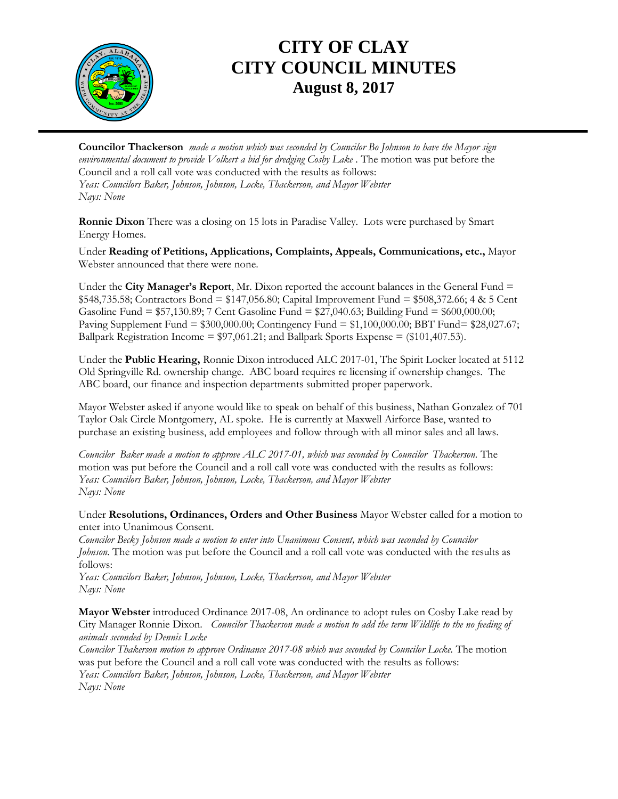

## **CITY OF CLAY CITY COUNCIL MINUTES August 8, 2017**

**Councilor Thackerson** *made a motion which was seconded by Councilor Bo Johnson to have the Mayor sign environmental document to provide Volkert a bid for dredging Cosby Lake .* The motion was put before the Council and a roll call vote was conducted with the results as follows: *Yeas: Councilors Baker, Johnson, Johnson, Locke, Thackerson, and Mayor Webster Nays: None*

**Ronnie Dixon** There was a closing on 15 lots in Paradise Valley. Lots were purchased by Smart Energy Homes.

Under **Reading of Petitions, Applications, Complaints, Appeals, Communications, etc.,** Mayor Webster announced that there were none.

Under the **City Manager's Report**, Mr. Dixon reported the account balances in the General Fund  $=$ \$548,735.58; Contractors Bond = \$147,056.80; Capital Improvement Fund = \$508,372.66; 4 & 5 Cent Gasoline Fund = \$57,130.89; 7 Cent Gasoline Fund = \$27,040.63; Building Fund = \$600,000.00; Paving Supplement Fund = \$300,000.00; Contingency Fund = \$1,100,000.00; BBT Fund= \$28,027.67; Ballpark Registration Income = \$97,061.21; and Ballpark Sports Expense = (\$101,407.53).

Under the **Public Hearing,** Ronnie Dixon introduced ALC 2017-01, The Spirit Locker located at 5112 Old Springville Rd. ownership change. ABC board requires re licensing if ownership changes. The ABC board, our finance and inspection departments submitted proper paperwork.

Mayor Webster asked if anyone would like to speak on behalf of this business, Nathan Gonzalez of 701 Taylor Oak Circle Montgomery, AL spoke. He is currently at Maxwell Airforce Base, wanted to purchase an existing business, add employees and follow through with all minor sales and all laws.

*Councilor Baker made a motion to approve ALC 2017-01, which was seconded by Councilor Thackerson.* The motion was put before the Council and a roll call vote was conducted with the results as follows: *Yeas: Councilors Baker, Johnson, Johnson, Locke, Thackerson, and Mayor Webster Nays: None*

Under **Resolutions, Ordinances, Orders and Other Business** Mayor Webster called for a motion to enter into Unanimous Consent.

*Councilor Becky Johnson made a motion to enter into Unanimous Consent, which was seconded by Councilor Johnson.* The motion was put before the Council and a roll call vote was conducted with the results as follows:

*Yeas: Councilors Baker, Johnson, Johnson, Locke, Thackerson, and Mayor Webster Nays: None*

**Mayor Webster** introduced Ordinance 2017-08, An ordinance to adopt rules on Cosby Lake read by City Manager Ronnie Dixon. *Councilor Thackerson made a motion to add the term Wildlife to the no feeding of animals seconded by Dennis Locke*

*Councilor Thakerson motion to approve Ordinance 2017-08 which was seconded by Councilor Locke.* The motion was put before the Council and a roll call vote was conducted with the results as follows: *Yeas: Councilors Baker, Johnson, Johnson, Locke, Thackerson, and Mayor Webster Nays: None*